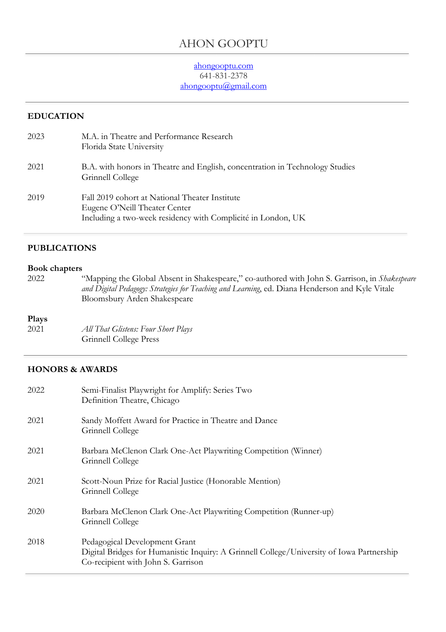# AHON GOOPTU

#### ahongooptu.com 641-831-2378 ahongooptu@gmail.com

#### **EDUCATION**

| 2023 | M.A. in Theatre and Performance Research<br>Florida State University                                                                            |
|------|-------------------------------------------------------------------------------------------------------------------------------------------------|
| 2021 | B.A. with honors in Theatre and English, concentration in Technology Studies<br>Grinnell College                                                |
| 2019 | Fall 2019 cohort at National Theater Institute<br>Eugene O'Neill Theater Center<br>Including a two-week residency with Complicité in London, UK |

#### **PUBLICATIONS**

#### **Book chapters**

2022 "Mapping the Global Absent in Shakespeare," co-authored with John S. Garrison, in *Shakespeare and Digital Pedagogy: Strategies for Teaching and Learning*, ed. Diana Henderson and Kyle Vitale Bloomsbury Arden Shakespeare

#### **Plays**

2021 *All That Glistens: Four Short Plays* Grinnell College Press

#### **HONORS & AWARDS**

| Semi-Finalist Playwright for Amplify: Series Two<br>Definition Theatre, Chicago                                                                                  |
|------------------------------------------------------------------------------------------------------------------------------------------------------------------|
| Sandy Moffett Award for Practice in Theatre and Dance<br>Grinnell College                                                                                        |
| Barbara McClenon Clark One-Act Playwriting Competition (Winner)<br>Grinnell College                                                                              |
| Scott-Noun Prize for Racial Justice (Honorable Mention)<br>Grinnell College                                                                                      |
| Barbara McClenon Clark One-Act Playwriting Competition (Runner-up)<br>Grinnell College                                                                           |
| Pedagogical Development Grant<br>Digital Bridges for Humanistic Inquiry: A Grinnell College/University of Iowa Partnership<br>Co-recipient with John S. Garrison |
|                                                                                                                                                                  |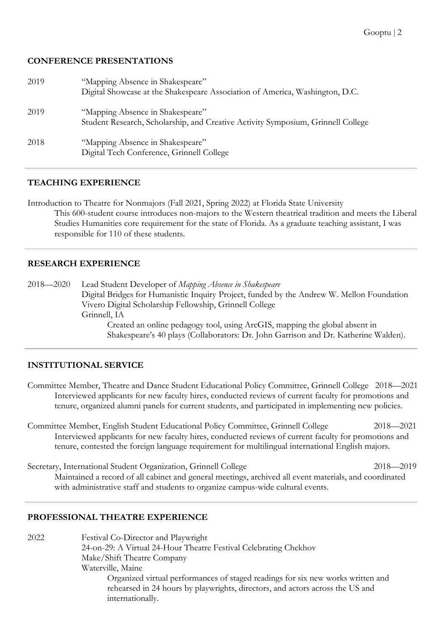#### **CONFERENCE PRESENTATIONS**

| 2019 | "Mapping Absence in Shakespeare"<br>Digital Showcase at the Shakespeare Association of America, Washington, D.C.     |
|------|----------------------------------------------------------------------------------------------------------------------|
| 2019 | "Mapping Absence in Shakespeare"<br>Student Research, Scholarship, and Creative Activity Symposium, Grinnell College |
| 2018 | "Mapping Absence in Shakespeare"<br>Digital Tech Conference, Grinnell College                                        |

#### **TEACHING EXPERIENCE**

Introduction to Theatre for Nonmajors (Fall 2021, Spring 2022) at Florida State University This 600-student course introduces non-majors to the Western theatrical tradition and meets the Liberal Studies Humanities core requirement for the state of Florida. As a graduate teaching assistant, I was responsible for 110 of these students.

#### **RESEARCH EXPERIENCE**

2018—2020 Lead Student Developer of *Mapping Absence in Shakespeare* Digital Bridges for Humanistic Inquiry Project, funded by the Andrew W. Mellon Foundation Vivero Digital Scholarship Fellowship, Grinnell College Grinnell, IA Created an online pedagogy tool, using ArcGIS, mapping the global absent in Shakespeare's 40 plays (Collaborators: Dr. John Garrison and Dr. Katherine Walden).

#### **INSTITUTIONAL SERVICE**

- Committee Member, Theatre and Dance Student Educational Policy Committee, Grinnell College 2018—2021 Interviewed applicants for new faculty hires, conducted reviews of current faculty for promotions and tenure, organized alumni panels for current students, and participated in implementing new policies.
- Committee Member, English Student Educational Policy Committee, Grinnell College 2018—2021 Interviewed applicants for new faculty hires, conducted reviews of current faculty for promotions and tenure, contested the foreign language requirement for multilingual international English majors.

Secretary, International Student Organization, Grinnell College 2018—2019 Maintained a record of all cabinet and general meetings, archived all event materials, and coordinated with administrative staff and students to organize campus-wide cultural events.

## **PROFESSIONAL THEATRE EXPERIENCE**

2022 Festival Co-Director and Playwright 24-on-29: A Virtual 24-Hour Theatre Festival Celebrating Chekhov Make/Shift Theatre Company Waterville, Maine Organized virtual performances of staged readings for six new works written and rehearsed in 24 hours by playwrights, directors, and actors across the US and internationally.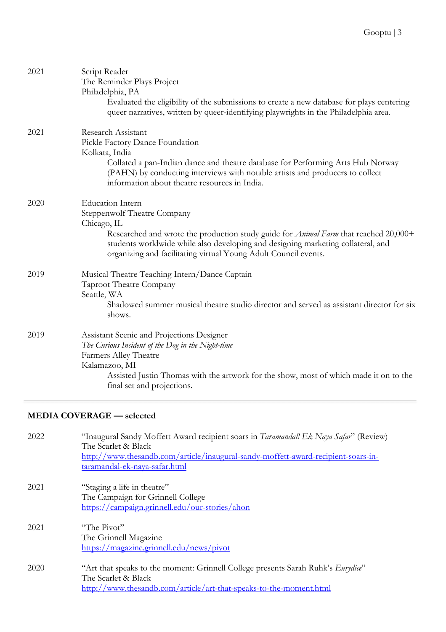| 2021 | Script Reader<br>The Reminder Plays Project<br>Philadelphia, PA<br>Evaluated the eligibility of the submissions to create a new database for plays centering<br>queer narratives, written by queer-identifying playwrights in the Philadelphia area.                                                                               |
|------|------------------------------------------------------------------------------------------------------------------------------------------------------------------------------------------------------------------------------------------------------------------------------------------------------------------------------------|
| 2021 | Research Assistant<br>Pickle Factory Dance Foundation<br>Kolkata, India<br>Collated a pan-Indian dance and theatre database for Performing Arts Hub Norway<br>(PAHN) by conducting interviews with notable artists and producers to collect<br>information about theatre resources in India.                                       |
| 2020 | <b>Education Intern</b><br><b>Steppenwolf Theatre Company</b><br>Chicago, IL<br>Researched and wrote the production study guide for <i>Animal Farm</i> that reached 20,000+<br>students worldwide while also developing and designing marketing collateral, and<br>organizing and facilitating virtual Young Adult Council events. |
| 2019 | Musical Theatre Teaching Intern/Dance Captain<br>Taproot Theatre Company<br>Seattle, WA<br>Shadowed summer musical theatre studio director and served as assistant director for six<br>shows.                                                                                                                                      |
| 2019 | Assistant Scenic and Projections Designer<br>The Curious Incident of the Dog in the Night-time<br>Farmers Alley Theatre<br>Kalamazoo, MI<br>Assisted Justin Thomas with the artwork for the show, most of which made it on to the<br>final set and projections.                                                                    |

# **MEDIA COVERAGE — selected**

| 2022 | "Inaugural Sandy Moffett Award recipient soars in Taramandal! Ek Naya Safar" (Review)<br>The Scarlet & Black<br>http://www.thesandb.com/article/inaugural-sandy-moffett-award-recipient-soars-in-<br>taramandal-ek-naya-safar.html |
|------|------------------------------------------------------------------------------------------------------------------------------------------------------------------------------------------------------------------------------------|
| 2021 | "Staging a life in theatre"<br>The Campaign for Grinnell College<br>https://campaign.grinnell.edu/our-stories/ahon                                                                                                                 |
| 2021 | "The Pivot"<br>The Grinnell Magazine<br>https://magazine.grinnell.edu/news/pivot                                                                                                                                                   |
| 2020 | "Art that speaks to the moment: Grinnell College presents Sarah Ruhk's Eurydice"<br>The Scarlet & Black<br>http://www.thesandb.com/article/art-that-speaks-to-the-moment.html                                                      |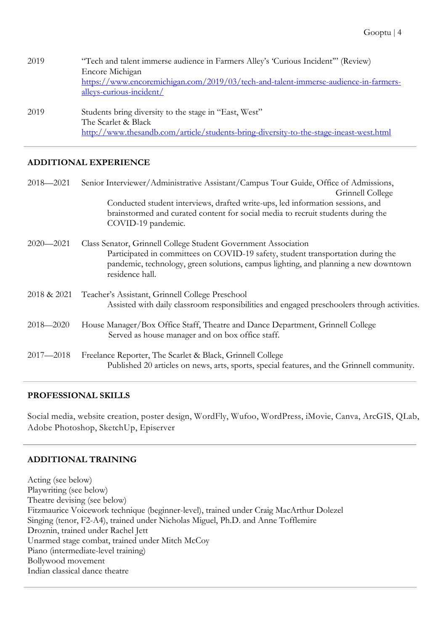| 2019 | "Tech and talent immerse audience in Farmers Alley's 'Curious Incident'" (Review)<br>Encore Michigan<br>https://www.encoremichigan.com/2019/03/tech-and-talent-immerse-audience-in-farmers-<br>alleys-curious-incident/ |
|------|-------------------------------------------------------------------------------------------------------------------------------------------------------------------------------------------------------------------------|
| 2019 | Students bring diversity to the stage in "East, West"<br>The Scarlet & Black<br>http://www.thesandb.com/article/students-bring-diversity-to-the-stage-ineast-west.html                                                  |

#### **ADDITIONAL EXPERIENCE**

| $2018 - 2021$ | Senior Interviewer/Administrative Assistant/Campus Tour Guide, Office of Admissions,<br>Grinnell College                                                                                                                                                     |
|---------------|--------------------------------------------------------------------------------------------------------------------------------------------------------------------------------------------------------------------------------------------------------------|
|               | Conducted student interviews, drafted write-ups, led information sessions, and<br>brainstormed and curated content for social media to recruit students during the<br>COVID-19 pandemic.                                                                     |
| $2020 - 2021$ | Class Senator, Grinnell College Student Government Association<br>Participated in committees on COVID-19 safety, student transportation during the<br>pandemic, technology, green solutions, campus lighting, and planning a new downtown<br>residence hall. |
| 2018 & 2021   | Teacher's Assistant, Grinnell College Preschool<br>Assisted with daily classroom responsibilities and engaged preschoolers through activities.                                                                                                               |
| $2018 - 2020$ | House Manager/Box Office Staff, Theatre and Dance Department, Grinnell College<br>Served as house manager and on box office staff.                                                                                                                           |
| $2017 - 2018$ | Freelance Reporter, The Scarlet & Black, Grinnell College<br>Published 20 articles on news, arts, sports, special features, and the Grinnell community.                                                                                                      |

## **PROFESSIONAL SKILLS**

Social media, website creation, poster design, WordFly, Wufoo, WordPress, iMovie, Canva, ArcGIS, QLab, Adobe Photoshop, SketchUp, Episerver

## **ADDITIONAL TRAINING**

Acting (see below) Playwriting (see below) Theatre devising (see below) Fitzmaurice Voicework technique (beginner-level), trained under Craig MacArthur Dolezel Singing (tenor, F2-A4), trained under Nicholas Miguel, Ph.D. and Anne Tofflemire Droznin, trained under Rachel Jett Unarmed stage combat, trained under Mitch McCoy Piano (intermediate-level training) Bollywood movement Indian classical dance theatre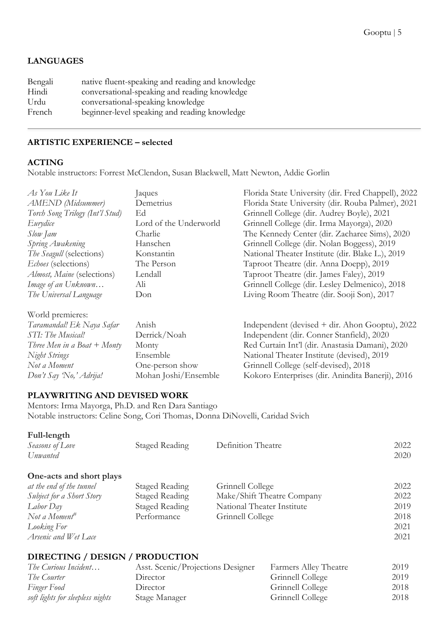## **LANGUAGES**

| native fluent-speaking and reading and knowledge |
|--------------------------------------------------|
| conversational-speaking and reading knowledge    |
|                                                  |
| beginner-level speaking and reading knowledge    |
|                                                  |

## **ARTISTIC EXPERIENCE – selected**

## **ACTING**

Notable instructors: Forrest McClendon, Susan Blackwell, Matt Newton, Addie Gorlin

| As You Like It                  | Jaques                 | Florida State University (dir. Fred Chappell), 2022 |
|---------------------------------|------------------------|-----------------------------------------------------|
| <b>AMEND</b> (Midsummer)        | Demetrius              | Florida State University (dir. Rouba Palmer), 2021  |
| Torch Song Trilogy (Int'l Stud) | Ed                     | Grinnell College (dir. Audrey Boyle), 2021          |
| Eurydice                        | Lord of the Underworld | Grinnell College (dir. Irma Mayorga), 2020          |
| Slow Jam                        | Charlie                | The Kennedy Center (dir. Zacharee Sims), 2020       |
| Spring Awakening                | Hanschen               | Grinnell College (dir. Nolan Boggess), 2019         |
| <i>The Seagull</i> (selections) | Konstantin             | National Theater Institute (dir. Blake L.), 2019    |
| Echoes (selections)             | The Person             | Taproot Theatre (dir. Anna Doepp), 2019             |
| Almost, Maine (selections)      | Lendall                | Taproot Theatre (dir. James Faley), 2019            |
| Image of an Unknown             | Ali                    | Grinnell College (dir. Lesley Delmenico), 2018      |
| The Universal Language          | Don                    | Living Room Theatre (dir. Sooji Son), 2017          |
|                                 |                        |                                                     |
| World premieres:                |                        |                                                     |
| Taramandal! Ek Naya Safar       | Anish                  | Independent (devised + dir. Ahon Gooptu), 2022      |
| STI: The Musical!               | Derrick/Noah           | Independent (dir. Conner Stanfield), 2020           |
| Three Men in a Boat $+$ Monty   | Monty                  | Red Curtain Int'l (dir. Anastasia Damani), 2020     |
| Night Strings                   | Ensemble               | National Theater Institute (devised), 2019          |
| Not a Moment                    | One-person show        | Grinnell College (self-devised), 2018               |
| Don't Say 'No,' Adrija!         | Mohan Joshi/Ensemble   | Kokoro Enterprises (dir. Anindita Banerji), 2016    |

## **PLAYWRITING AND DEVISED WORK**

Mentors: Irma Mayorga, Ph.D. and Ren Dara Santiago Notable instructors: Celine Song, Cori Thomas, Donna DiNovelli, Caridad Svich

| Staged Reading | Definition Theatre         | 2022 |
|----------------|----------------------------|------|
|                |                            | 2020 |
|                |                            |      |
| Staged Reading | Grinnell College           | 2022 |
| Staged Reading | Make/Shift Theatre Company | 2022 |
| Staged Reading | National Theater Institute | 2019 |
| Performance    | Grinnell College           | 2018 |
|                |                            | 2021 |
|                |                            | 2021 |
|                |                            |      |
|                |                            |      |

# **DIRECTING / DESIGN / PRODUCTION**

| The Curious Incident             | Asst. Scenic/Projections Designer | Farmers Alley Theatre | 2019 |
|----------------------------------|-----------------------------------|-----------------------|------|
| The Courter                      | Director                          | Grinnell College      | 2019 |
| Finger Food                      | Director                          | Grinnell College      | 2018 |
| soft lights for sleepless nights | Stage Manager                     | Grinnell College      | 2018 |